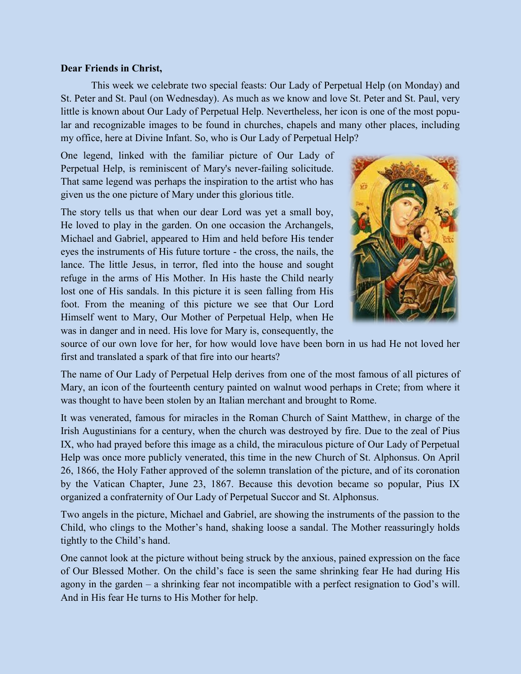## **Dear Friends in Christ,**

This week we celebrate two special feasts: Our Lady of Perpetual Help (on Monday) and St. Peter and St. Paul (on Wednesday). As much as we know and love St. Peter and St. Paul, very little is known about Our Lady of Perpetual Help. Nevertheless, her icon is one of the most popular and recognizable images to be found in churches, chapels and many other places, including my office, here at Divine Infant. So, who is Our Lady of Perpetual Help?

One legend, linked with the familiar picture of Our Lady of Perpetual Help, is reminiscent of Mary's never-failing solicitude. That same legend was perhaps the inspiration to the artist who has given us the one picture of Mary under this glorious title.

The story tells us that when our dear Lord was yet a small boy, He loved to play in the garden. On one occasion the Archangels, Michael and Gabriel, appeared to Him and held before His tender eyes the instruments of His future torture - the cross, the nails, the lance. The little Jesus, in terror, fled into the house and sought refuge in the arms of His Mother. In His haste the Child nearly lost one of His sandals. In this picture it is seen falling from His foot. From the meaning of this picture we see that Our Lord Himself went to Mary, Our Mother of Perpetual Help, when He was in danger and in need. His love for Mary is, consequently, the



source of our own love for her, for how would love have been born in us had He not loved her first and translated a spark of that fire into our hearts?

The name of Our Lady of Perpetual Help derives from one of the most famous of all pictures of Mary, an icon of the fourteenth century painted on walnut wood perhaps in Crete; from where it was thought to have been stolen by an Italian merchant and brought to Rome.

It was venerated, famous for miracles in the Roman Church of Saint Matthew, in charge of the Irish Augustinians for a century, when the church was destroyed by fire. Due to the zeal of Pius IX, who had prayed before this image as a child, the miraculous picture of Our Lady of Perpetual Help was once more publicly venerated, this time in the new Church of St. Alphonsus. On April 26, 1866, the Holy Father approved of the solemn translation of the picture, and of its coronation by the Vatican Chapter, June 23, 1867. Because this devotion became so popular, Pius IX organized a confraternity of Our Lady of Perpetual Succor and St. Alphonsus.

Two angels in the picture, Michael and Gabriel, are showing the instruments of the passion to the Child, who clings to the Mother's hand, shaking loose a sandal. The Mother reassuringly holds tightly to the Child's hand.

One cannot look at the picture without being struck by the anxious, pained expression on the face of Our Blessed Mother. On the child's face is seen the same shrinking fear He had during His agony in the garden – a shrinking fear not incompatible with a perfect resignation to God's will. And in His fear He turns to His Mother for help.